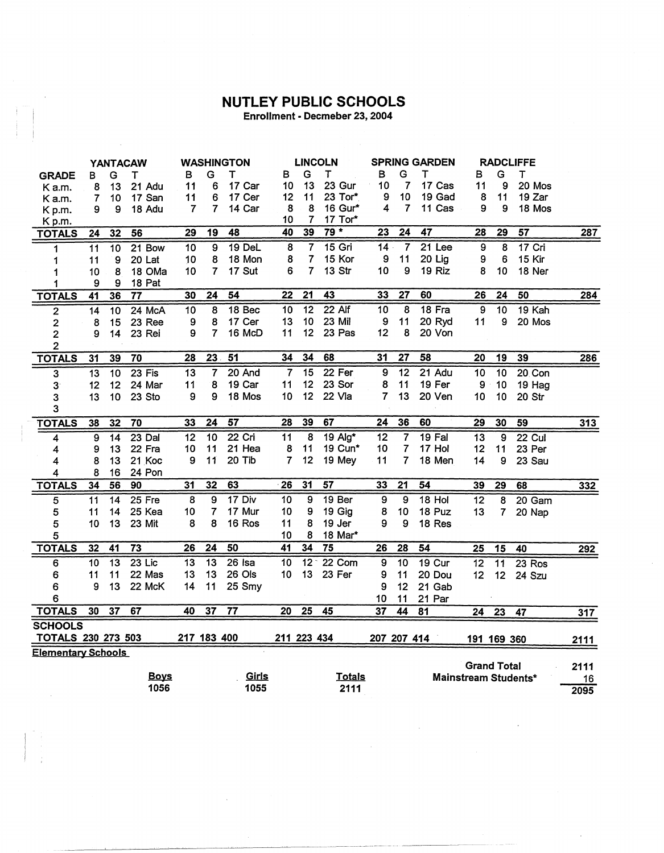## **NUTLEY PUBLIC SCHOOLS**<br>Enrollment - Decmeber 23, 2004

|                                                                                               | <b>YANTACAW</b> |                 |                 | WASHINGTON      |                 | <b>LINCOLN</b>  |                 |                         | <b>SPRING GARDEN</b> |                 |                 | <b>RADCLIFFE</b>     |                 |                 |          |            |
|-----------------------------------------------------------------------------------------------|-----------------|-----------------|-----------------|-----------------|-----------------|-----------------|-----------------|-------------------------|----------------------|-----------------|-----------------|----------------------|-----------------|-----------------|----------|------------|
| <b>GRADE</b>                                                                                  | в               | G               | т               | в               | G               | т               | в               | G                       | т                    | в               | G               | т                    | в               | G               | т        |            |
| Ka.m.                                                                                         | 8               | 13              | 21 Adu          | 11              | 6               | 17 Car          | 10              | 13                      | 23 Gur               | 10              | $\overline{7}$  | 17 Cas               | 11              | 9               | 20 Mos   |            |
| K a.m.                                                                                        | 7               | 10              | 17 San          | 11              | 6               | 17 Cer          | 12              | 11                      | 23 Tor*              | 9               | 10              | 19 Gad               | 8               | 11              | 19 Zar   |            |
| K p.m.                                                                                        | 9               | 9               | 18 Adu          | 7               | 7               | 14 Car          | 8               | 8                       | 16 Gur*              | 4               | $\overline{7}$  | 11 Cas               | 9               | 9               | 18 Mos   |            |
| Kp.m.                                                                                         |                 |                 |                 |                 |                 |                 | 10              | 7                       | 17 Tor*              |                 |                 |                      |                 |                 |          |            |
| <b>TOTALS</b>                                                                                 | $\overline{24}$ | 32              | 56              | 29              | 19              | 48              | 40              | 39                      | $79*$                | $\overline{23}$ | $\overline{24}$ | $\overline{47}$      | $\overline{28}$ | $\overline{29}$ | 57       | 287        |
| 1                                                                                             | 11              | $\overline{10}$ | 21 Bow          | 10              | 9               | 19 DeL          | 8               | $\overline{\mathbf{7}}$ | $15$ Gri             | $\overline{14}$ | $\overline{7}$  | $21$ Lee             | 9               | 8               | $17$ Cri |            |
| 1                                                                                             | 11              | 9               | 20 Lat          | 10              | 8               | 18 Mon          | 8               | $\overline{7}$          | 15 Kor               | 9               | 11              | 20 Lig               | 9               | 6               | 15 Kir   |            |
| 1                                                                                             | 10              | 8               | 18 OMa          | 10              | $\overline{7}$  | 17 Sut          | 6               | 7                       | 13 Str               | 10              | 9               | 19 Riz               | 8               | 10              | 18 Ner   |            |
| 1                                                                                             | 9               | 9               | 18 Pat          |                 |                 |                 |                 |                         |                      |                 |                 |                      |                 |                 |          |            |
| <b>TOTALS</b>                                                                                 | $\overline{41}$ | 36              | $\overline{77}$ | 30              | 24              | 54              | $\overline{22}$ | $\overline{21}$         | 43                   | 33              | $\overline{27}$ | 60                   | 26              | 24              | 50       | 284        |
| $\overline{2}$                                                                                | 14              | $\overline{10}$ | 24 McA          | $\overline{10}$ | 8               | 18 Bec          | 10              | $\overline{12}$         | $22$ Alf             | $\overline{10}$ | $\overline{8}$  | $18$ Fra             | 9               | $\overline{10}$ | 19 Kah   |            |
| 2                                                                                             | 8               | 15              | 23 Ree          | 9               | 8               | 17 Cer          | 13              | 10                      | 23 Mil               | $\mathbf{9}$    | 11              | 20 Ryd               | 11              | 9               | 20 Mos   |            |
| $\overline{c}$                                                                                | 9               | 14              | 23 Rei          | 9               | $\overline{7}$  | 16 McD          | 11              | 12                      | 23 Pas               | 12              | 8               | 20 Von               |                 |                 |          |            |
| 2                                                                                             |                 |                 |                 |                 |                 |                 |                 |                         |                      |                 |                 |                      |                 |                 |          |            |
| <b>TOTALS</b>                                                                                 | 31              | 39              | 70              | 28              | 23.             | 51              | 34              | 34                      | 68                   | $\overline{31}$ | $\overline{27}$ | 58                   | 20              | 19              | 39       | 286        |
| 3                                                                                             | $\overline{13}$ | $\overline{10}$ | $23$ Fis        | 13              | $\overline{7}$  | 20 And          | $\overline{7}$  | 15                      | $22$ Fer             | 9               | 12              | 21 Adu               | 10              | 10              | 20 Con   |            |
| 3 <sup>°</sup>                                                                                | 12              | 12              | 24 Mar          | 11              | 8               | 19 Car          | 11              | 12                      | 23 Sor               | 8               | 11              | 19 Fer               | $\mathbf{9}$    | 10              | 19 Hag   |            |
| 3                                                                                             | 13              | 10              | 23 Sto          | 9               | 9               | 18 Mos          | 10              | 12                      | 22 Vla               | 7               | 13              | 20 Ven               | 10              | 10              | 20 Str   |            |
| 3                                                                                             |                 |                 |                 |                 |                 |                 |                 |                         |                      |                 |                 |                      |                 |                 |          |            |
| <b>TOTALS</b>                                                                                 | 38              | 32              | 70              | 33              | 24              | $\overline{57}$ | 28              | 39                      | 67                   | $\overline{24}$ | 36              | 60                   | 29              | 30              | 59       | <u>313</u> |
| 4                                                                                             | 9               | $\overline{14}$ | $23$ Dal        | 12              | $\overline{10}$ | 22 Cri          | 11              | $\overline{\mathbf{8}}$ | $19$ Alg*            | 12              | 7               | $19$ Fal             | 13              | 9               | 22 Cul   |            |
| 4                                                                                             | 9               | 13              | 22 Fra          | 10              | 11              | 21 Hea          | 8               | 11                      | 19 Cun*              | 10              | 7               | 17 Hol               | 12              | 11              | 23 Per   |            |
| 4                                                                                             | 8               | 13              | 21 Koc          | 9               | 11              | 20 Tib          | 7               | 12                      | 19 Mey               | 11              | 7               | 18 Men               | 14              | 9               | 23 Sau   |            |
| 4                                                                                             | 8               | 16              | 24 Pon          |                 |                 |                 |                 |                         |                      |                 |                 |                      |                 |                 |          |            |
| <b>TOTALS</b>                                                                                 | 34              | 56              | 90              | 31              | 32              | 63              | 26              | 31                      | $\overline{57}$      | 33              | 21              | 54                   | 39              | 29              | 68       | 332        |
| 5                                                                                             | 11              | $\overline{14}$ | $25$ Fre        | $\overline{8}$  | 9               | $17$ Div        | 10              | $\overline{9}$          | 19 Ber               | 9               | 9               | $18$ Hol             | $\overline{12}$ | $\overline{8}$  | 20 Gam   |            |
| 5                                                                                             | 11              | 14              | 25 Kea          | 10              | 7               | 17 Mur          | 10              | 9                       | 19 Gig               | 8               | 10              | 18 Puz               | 13              | 7               | 20 Nap   |            |
| 5                                                                                             | 10              | 13              | 23 Mit          | 8               | 8               | 16 Ros          | 11              | 8                       | 19 Jer               | 9               | 9               | 18 Res               |                 |                 |          |            |
| 5                                                                                             |                 |                 |                 |                 |                 |                 | 10              | 8                       | 18 Mar*              |                 |                 |                      |                 |                 |          |            |
| <b>TOTALS</b>                                                                                 | 32              | 41              | $\overline{73}$ | 26              | 24              | 50              | 41              | 34                      | $\overline{75}$      | 26              | 28              | 54                   | 25              | 15              | 40       | 292        |
| 6                                                                                             | 10              | $\overline{13}$ | $23$ Lic        | $\overline{13}$ | $\overline{13}$ | $26$ Isa        | $\overline{10}$ | $\overline{12}$         | 22 Com               | 9               | $\overline{10}$ | <b>19 Cur</b>        | $\overline{12}$ | $\overline{11}$ | 23 Ros   |            |
| 6                                                                                             | 11              | 11              | 22 Mas          | 13              | 13              | 26 Ols          | 10              | 13                      | 23 Fer               | 9               | 11              | 20 Dou               | 12              | 12              | 24 Szu   |            |
| 6                                                                                             | 9               | 13              | 22 McK          | 14              | 11              | 25 Smy          |                 |                         |                      | 9               | 12              | 21 Gab               |                 |                 |          |            |
| 6                                                                                             |                 |                 |                 |                 |                 |                 |                 |                         |                      | 10              | 11              | 21 Par               |                 |                 |          |            |
|                                                                                               | 30              | $\overline{37}$ | 67              | 40              | $\overline{37}$ | $\overline{77}$ | $\overline{20}$ | $\overline{25}$         | $\overline{45}$      | $\overline{37}$ | 44              |                      |                 |                 |          |            |
| <b>TOTALS</b>                                                                                 |                 |                 |                 |                 |                 |                 |                 |                         |                      |                 |                 | 81                   | 24              | $\overline{23}$ | 47       | <u>317</u> |
| <b>SCHOOLS</b>                                                                                |                 |                 |                 |                 |                 |                 |                 |                         |                      |                 |                 |                      |                 |                 |          |            |
| <b>TOTALS 230 273 503</b><br>217 183 400<br>211 223 434<br>207 207 414<br>191 169 360<br>2111 |                 |                 |                 |                 |                 |                 |                 |                         |                      |                 |                 |                      |                 |                 |          |            |
| <b>Elementary Schools</b><br><b>Grand Total</b>                                               |                 |                 |                 |                 |                 |                 |                 |                         |                      |                 |                 |                      |                 |                 |          |            |
|                                                                                               |                 |                 | <b>Boys</b>     |                 |                 | <u>Girls</u>    |                 |                         | <b>Totals</b>        |                 |                 |                      |                 |                 |          | 2111       |
|                                                                                               |                 |                 | 1056            |                 |                 | 1055            |                 |                         | 2111                 |                 |                 | Mainstream Students* |                 |                 |          | 16         |
|                                                                                               |                 |                 |                 |                 |                 |                 |                 |                         |                      |                 |                 |                      |                 |                 |          | 2095       |

 $\mathcal{L}^{\text{max}}_{\text{max}}$  and  $\mathcal{L}^{\text{max}}_{\text{max}}$ 

 $\sim$ 

 $\sim$